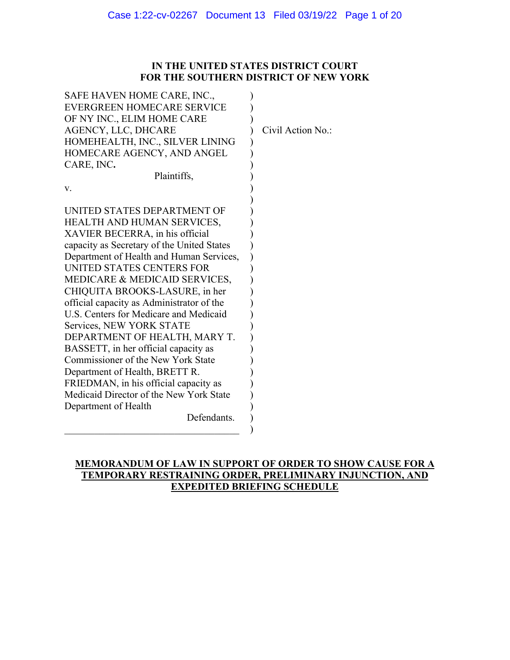## **IN THE UNITED STATES DISTRICT COURT FOR THE SOUTHERN DISTRICT OF NEW YORK**

| SAFE HAVEN HOME CARE, INC.,                |                   |
|--------------------------------------------|-------------------|
| <b>EVERGREEN HOMECARE SERVICE</b>          |                   |
| OF NY INC., ELIM HOME CARE                 |                   |
| AGENCY, LLC, DHCARE                        | Civil Action No.: |
| HOMEHEALTH, INC., SILVER LINING            |                   |
| HOMECARE AGENCY, AND ANGEL                 |                   |
| CARE, INC.                                 |                   |
| Plaintiffs,                                |                   |
| v.                                         |                   |
|                                            |                   |
| UNITED STATES DEPARTMENT OF                |                   |
| HEALTH AND HUMAN SERVICES,                 |                   |
| XAVIER BECERRA, in his official            |                   |
| capacity as Secretary of the United States |                   |
| Department of Health and Human Services,   |                   |
| UNITED STATES CENTERS FOR                  |                   |
| MEDICARE & MEDICAID SERVICES,              |                   |
| CHIQUITA BROOKS-LASURE, in her             |                   |
| official capacity as Administrator of the  |                   |
| U.S. Centers for Medicare and Medicaid     |                   |
| Services, NEW YORK STATE                   |                   |
| DEPARTMENT OF HEALTH, MARY T.              |                   |
| BASSETT, in her official capacity as       |                   |
| Commissioner of the New York State         |                   |
| Department of Health, BRETT R.             |                   |
| FRIEDMAN, in his official capacity as      |                   |
| Medicaid Director of the New York State    |                   |
| Department of Health                       |                   |
| Defendants.                                |                   |
|                                            |                   |

## **MEMORANDUM OF LAW IN SUPPORT OF ORDER TO SHOW CAUSE FOR A TEMPORARY RESTRAINING ORDER, PRELIMINARY INJUNCTION, AND EXPEDITED BRIEFING SCHEDULE**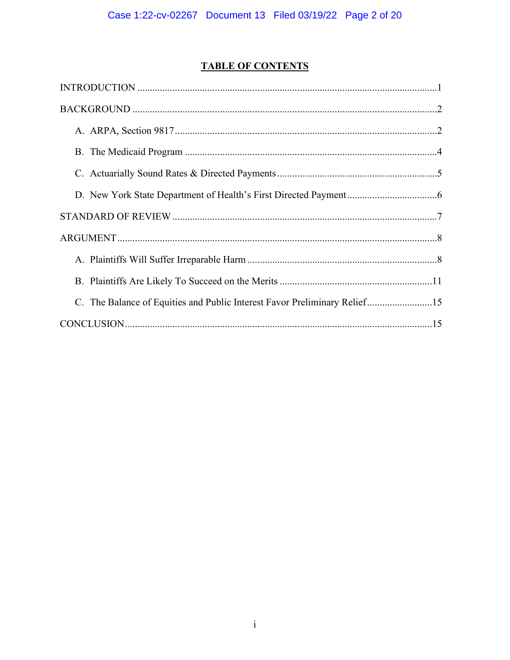# **TABLE OF CONTENTS**

| C. The Balance of Equities and Public Interest Favor Preliminary Relief15 |
|---------------------------------------------------------------------------|
|                                                                           |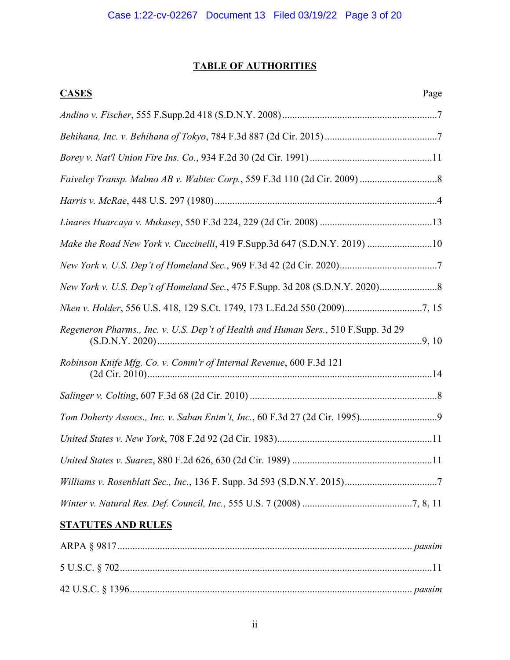# **TABLE OF AUTHORITIES**

| <b>CASES</b><br>Page                                                               |
|------------------------------------------------------------------------------------|
|                                                                                    |
|                                                                                    |
|                                                                                    |
|                                                                                    |
|                                                                                    |
|                                                                                    |
| Make the Road New York v. Cuccinelli, 419 F.Supp.3d 647 (S.D.N.Y. 2019) 10         |
|                                                                                    |
|                                                                                    |
|                                                                                    |
| Regeneron Pharms., Inc. v. U.S. Dep't of Health and Human Sers., 510 F.Supp. 3d 29 |
| Robinson Knife Mfg. Co. v. Comm'r of Internal Revenue, 600 F.3d 121                |
|                                                                                    |
|                                                                                    |
|                                                                                    |
|                                                                                    |
|                                                                                    |
|                                                                                    |
| <b>STATUTES AND RULES</b>                                                          |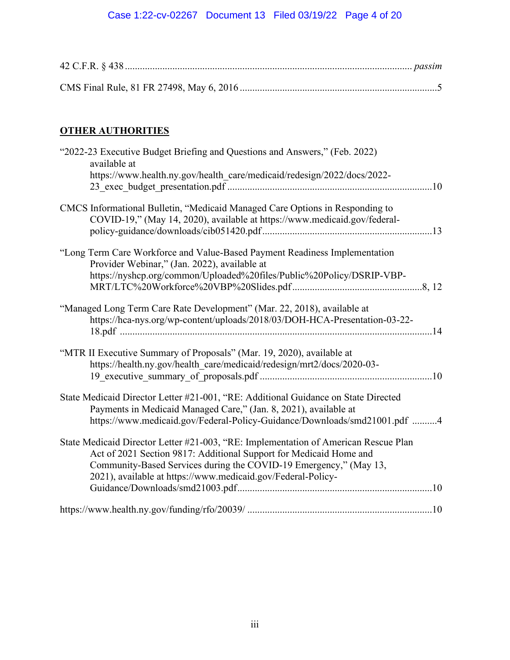# Case 1:22-cv-02267 Document 13 Filed 03/19/22 Page 4 of 20

# **OTHER AUTHORITIES**

| "2022-23 Executive Budget Briefing and Questions and Answers," (Feb. 2022)<br>available at                                                                                                                                                                                                     |
|------------------------------------------------------------------------------------------------------------------------------------------------------------------------------------------------------------------------------------------------------------------------------------------------|
| https://www.health.ny.gov/health care/medicaid/redesign/2022/docs/2022-                                                                                                                                                                                                                        |
| CMCS Informational Bulletin, "Medicaid Managed Care Options in Responding to<br>COVID-19," (May 14, 2020), available at https://www.medicaid.gov/federal-                                                                                                                                      |
| "Long Term Care Workforce and Value-Based Payment Readiness Implementation<br>Provider Webinar," (Jan. 2022), available at<br>https://nyshcp.org/common/Uploaded%20files/Public%20Policy/DSRIP-VBP-                                                                                            |
| "Managed Long Term Care Rate Development" (Mar. 22, 2018), available at<br>https://hca-nys.org/wp-content/uploads/2018/03/DOH-HCA-Presentation-03-22-                                                                                                                                          |
| "MTR II Executive Summary of Proposals" (Mar. 19, 2020), available at<br>https://health.ny.gov/health care/medicaid/redesign/mrt2/docs/2020-03-                                                                                                                                                |
| State Medicaid Director Letter #21-001, "RE: Additional Guidance on State Directed<br>Payments in Medicaid Managed Care," (Jan. 8, 2021), available at<br>https://www.medicaid.gov/Federal-Policy-Guidance/Downloads/smd21001.pdf 4                                                            |
| State Medicaid Director Letter #21-003, "RE: Implementation of American Rescue Plan<br>Act of 2021 Section 9817: Additional Support for Medicaid Home and<br>Community-Based Services during the COVID-19 Emergency," (May 13,<br>2021), available at https://www.medicaid.gov/Federal-Policy- |
|                                                                                                                                                                                                                                                                                                |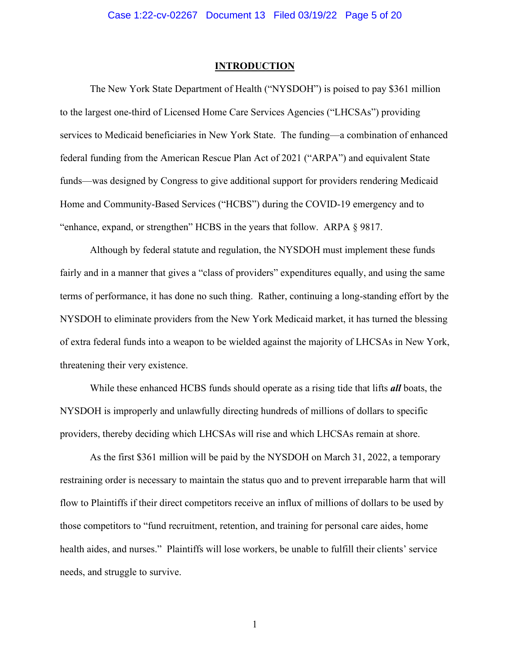#### **INTRODUCTION**

The New York State Department of Health ("NYSDOH") is poised to pay \$361 million to the largest one-third of Licensed Home Care Services Agencies ("LHCSAs") providing services to Medicaid beneficiaries in New York State. The funding—a combination of enhanced federal funding from the American Rescue Plan Act of 2021 ("ARPA") and equivalent State funds—was designed by Congress to give additional support for providers rendering Medicaid Home and Community-Based Services ("HCBS") during the COVID-19 emergency and to "enhance, expand, or strengthen" HCBS in the years that follow. ARPA § 9817.

Although by federal statute and regulation, the NYSDOH must implement these funds fairly and in a manner that gives a "class of providers" expenditures equally, and using the same terms of performance, it has done no such thing. Rather, continuing a long-standing effort by the NYSDOH to eliminate providers from the New York Medicaid market, it has turned the blessing of extra federal funds into a weapon to be wielded against the majority of LHCSAs in New York, threatening their very existence.

While these enhanced HCBS funds should operate as a rising tide that lifts *all* boats, the NYSDOH is improperly and unlawfully directing hundreds of millions of dollars to specific providers, thereby deciding which LHCSAs will rise and which LHCSAs remain at shore.

As the first \$361 million will be paid by the NYSDOH on March 31, 2022, a temporary restraining order is necessary to maintain the status quo and to prevent irreparable harm that will flow to Plaintiffs if their direct competitors receive an influx of millions of dollars to be used by those competitors to "fund recruitment, retention, and training for personal care aides, home health aides, and nurses." Plaintiffs will lose workers, be unable to fulfill their clients' service needs, and struggle to survive.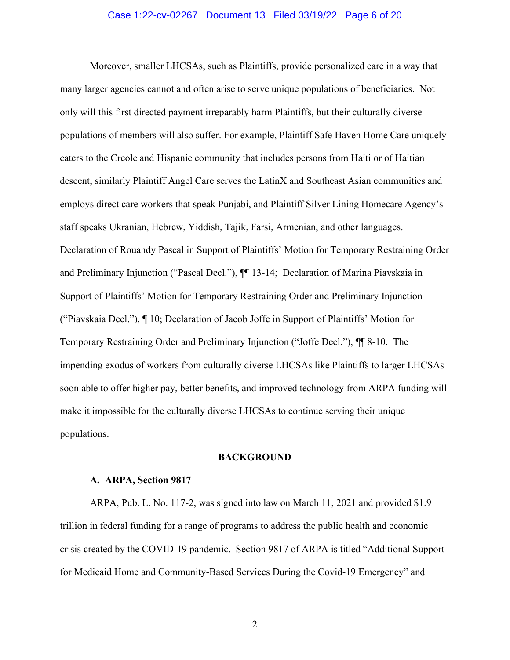#### Case 1:22-cv-02267 Document 13 Filed 03/19/22 Page 6 of 20

Moreover, smaller LHCSAs, such as Plaintiffs, provide personalized care in a way that many larger agencies cannot and often arise to serve unique populations of beneficiaries. Not only will this first directed payment irreparably harm Plaintiffs, but their culturally diverse populations of members will also suffer. For example, Plaintiff Safe Haven Home Care uniquely caters to the Creole and Hispanic community that includes persons from Haiti or of Haitian descent, similarly Plaintiff Angel Care serves the LatinX and Southeast Asian communities and employs direct care workers that speak Punjabi, and Plaintiff Silver Lining Homecare Agency's staff speaks Ukranian, Hebrew, Yiddish, Tajik, Farsi, Armenian, and other languages. Declaration of Rouandy Pascal in Support of Plaintiffs' Motion for Temporary Restraining Order and Preliminary Injunction ("Pascal Decl."), ¶¶ 13-14; Declaration of Marina Piavskaia in Support of Plaintiffs' Motion for Temporary Restraining Order and Preliminary Injunction ("Piavskaia Decl."), ¶ 10; Declaration of Jacob Joffe in Support of Plaintiffs' Motion for Temporary Restraining Order and Preliminary Injunction ("Joffe Decl."), ¶¶ 8-10. The impending exodus of workers from culturally diverse LHCSAs like Plaintiffs to larger LHCSAs soon able to offer higher pay, better benefits, and improved technology from ARPA funding will make it impossible for the culturally diverse LHCSAs to continue serving their unique populations.

#### **BACKGROUND**

#### **A. ARPA, Section 9817**

ARPA, Pub. L. No. 117-2, was signed into law on March 11, 2021 and provided \$1.9 trillion in federal funding for a range of programs to address the public health and economic crisis created by the COVID-19 pandemic. Section 9817 of ARPA is titled "Additional Support for Medicaid Home and Community-Based Services During the Covid-19 Emergency" and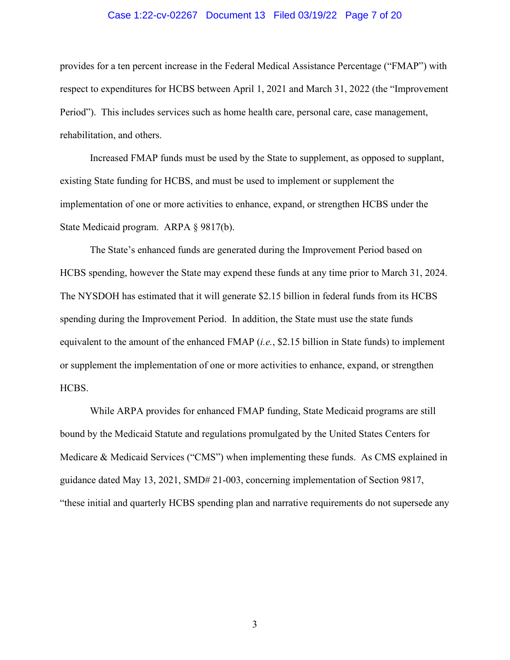#### Case 1:22-cv-02267 Document 13 Filed 03/19/22 Page 7 of 20

provides for a ten percent increase in the Federal Medical Assistance Percentage ("FMAP") with respect to expenditures for HCBS between April 1, 2021 and March 31, 2022 (the "Improvement Period"). This includes services such as home health care, personal care, case management, rehabilitation, and others.

Increased FMAP funds must be used by the State to supplement, as opposed to supplant, existing State funding for HCBS, and must be used to implement or supplement the implementation of one or more activities to enhance, expand, or strengthen HCBS under the State Medicaid program. ARPA § 9817(b).

The State's enhanced funds are generated during the Improvement Period based on HCBS spending, however the State may expend these funds at any time prior to March 31, 2024. The NYSDOH has estimated that it will generate \$2.15 billion in federal funds from its HCBS spending during the Improvement Period. In addition, the State must use the state funds equivalent to the amount of the enhanced FMAP (*i.e.*, \$2.15 billion in State funds) to implement or supplement the implementation of one or more activities to enhance, expand, or strengthen HCBS.

While ARPA provides for enhanced FMAP funding, State Medicaid programs are still bound by the Medicaid Statute and regulations promulgated by the United States Centers for Medicare & Medicaid Services ("CMS") when implementing these funds. As CMS explained in guidance dated May 13, 2021, SMD# 21-003, concerning implementation of Section 9817, "these initial and quarterly HCBS spending plan and narrative requirements do not supersede any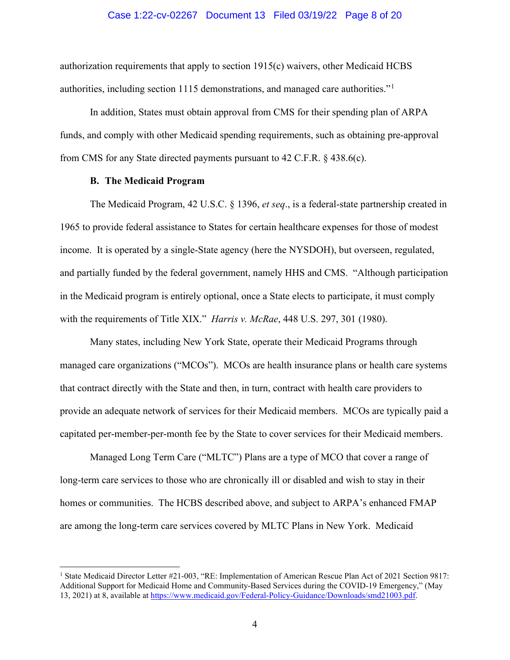#### Case 1:22-cv-02267 Document 13 Filed 03/19/22 Page 8 of 20

authorization requirements that apply to section 1915(c) waivers, other Medicaid HCBS authorities, including section 1115 demonstrations, and managed care authorities."[1](#page-7-0)

In addition, States must obtain approval from CMS for their spending plan of ARPA funds, and comply with other Medicaid spending requirements, such as obtaining pre-approval from CMS for any State directed payments pursuant to 42 C.F.R. § 438.6(c).

### **B. The Medicaid Program**

The Medicaid Program, 42 U.S.C. § 1396, *et seq*., is a federal-state partnership created in 1965 to provide federal assistance to States for certain healthcare expenses for those of modest income. It is operated by a single-State agency (here the NYSDOH), but overseen, regulated, and partially funded by the federal government, namely HHS and CMS. "Although participation in the Medicaid program is entirely optional, once a State elects to participate, it must comply with the requirements of Title XIX." *Harris v. McRae*, 448 U.S. 297, 301 (1980).

Many states, including New York State, operate their Medicaid Programs through managed care organizations ("MCOs"). MCOs are health insurance plans or health care systems that contract directly with the State and then, in turn, contract with health care providers to provide an adequate network of services for their Medicaid members. MCOs are typically paid a capitated per-member-per-month fee by the State to cover services for their Medicaid members.

Managed Long Term Care ("MLTC") Plans are a type of MCO that cover a range of long-term care services to those who are chronically ill or disabled and wish to stay in their homes or communities. The HCBS described above, and subject to ARPA's enhanced FMAP are among the long-term care services covered by MLTC Plans in New York. Medicaid

<span id="page-7-0"></span><sup>&</sup>lt;sup>1</sup> State Medicaid Director Letter #21-003, "RE: Implementation of American Rescue Plan Act of 2021 Section 9817: Additional Support for Medicaid Home and Community-Based Services during the COVID-19 Emergency," (May 13, 2021) at 8, available at [https://www.medicaid.gov/Federal-Policy-Guidance/Downloads/smd21003.pdf.](https://www.medicaid.gov/Federal-Policy-Guidance/Downloads/smd21003.pdf)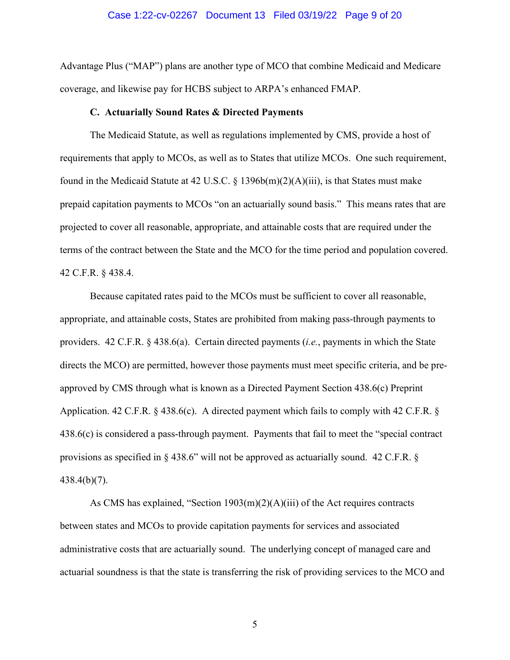#### Case 1:22-cv-02267 Document 13 Filed 03/19/22 Page 9 of 20

Advantage Plus ("MAP") plans are another type of MCO that combine Medicaid and Medicare coverage, and likewise pay for HCBS subject to ARPA's enhanced FMAP.

#### **C. Actuarially Sound Rates & Directed Payments**

The Medicaid Statute, as well as regulations implemented by CMS, provide a host of requirements that apply to MCOs, as well as to States that utilize MCOs. One such requirement, found in the Medicaid Statute at 42 U.S.C. § 1396b(m)(2)(A)(iii), is that States must make prepaid capitation payments to MCOs "on an actuarially sound basis." This means rates that are projected to cover all reasonable, appropriate, and attainable costs that are required under the terms of the contract between the State and the MCO for the time period and population covered. 42 C.F.R. § 438.4.

Because capitated rates paid to the MCOs must be sufficient to cover all reasonable, appropriate, and attainable costs, States are prohibited from making pass-through payments to providers. 42 C.F.R. § 438.6(a). Certain directed payments (*i.e.*, payments in which the State directs the MCO) are permitted, however those payments must meet specific criteria, and be preapproved by CMS through what is known as a Directed Payment Section 438.6(c) Preprint Application. 42 C.F.R. § 438.6(c). A directed payment which fails to comply with 42 C.F.R. § 438.6(c) is considered a pass-through payment. Payments that fail to meet the "special contract provisions as specified in § 438.6" will not be approved as actuarially sound. 42 C.F.R. § 438.4(b)(7).

As CMS has explained, "Section 1903(m)(2)(A)(iii) of the Act requires contracts between states and MCOs to provide capitation payments for services and associated administrative costs that are actuarially sound. The underlying concept of managed care and actuarial soundness is that the state is transferring the risk of providing services to the MCO and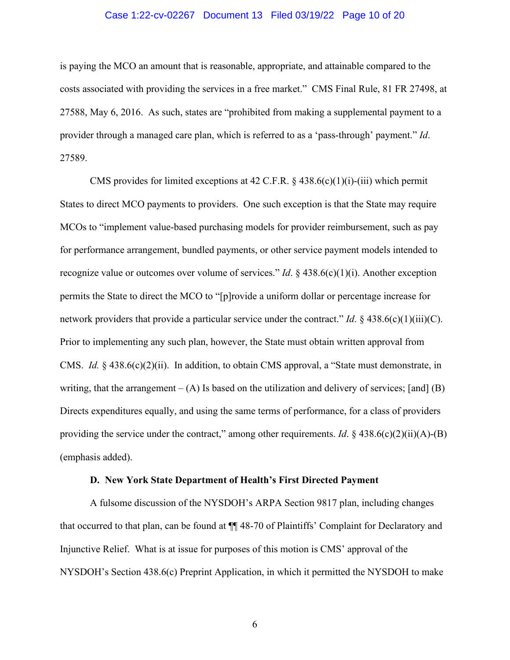### Case 1:22-cv-02267 Document 13 Filed 03/19/22 Page 10 of 20

is paying the MCO an amount that is reasonable, appropriate, and attainable compared to the costs associated with providing the services in a free market." CMS Final Rule, 81 FR 27498, at 27588, May 6, 2016. As such, states are "prohibited from making a supplemental payment to a provider through a managed care plan, which is referred to as a 'pass-through' payment." *Id*. 27589.

CMS provides for limited exceptions at 42 C.F.R.  $\S$  438.6(c)(1)(i)-(iii) which permit States to direct MCO payments to providers. One such exception is that the State may require MCOs to "implement value-based purchasing models for provider reimbursement, such as pay for performance arrangement, bundled payments, or other service payment models intended to recognize value or outcomes over volume of services." *Id*. § 438.6(c)(1)(i). Another exception permits the State to direct the MCO to "[p]rovide a uniform dollar or percentage increase for network providers that provide a particular service under the contract." *Id*. § 438.6(c)(1)(iii)(C). Prior to implementing any such plan, however, the State must obtain written approval from CMS. *Id.* § 438.6(c)(2)(ii). In addition, to obtain CMS approval, a "State must demonstrate, in writing, that the arrangement  $-(A)$  Is based on the utilization and delivery of services; [and] (B) Directs expenditures equally, and using the same terms of performance, for a class of providers providing the service under the contract," among other requirements. *Id*. § 438.6(c)(2)(ii)(A)-(B) (emphasis added).

#### **D. New York State Department of Health's First Directed Payment**

A fulsome discussion of the NYSDOH's ARPA Section 9817 plan, including changes that occurred to that plan, can be found at ¶¶ 48-70 of Plaintiffs' Complaint for Declaratory and Injunctive Relief. What is at issue for purposes of this motion is CMS' approval of the NYSDOH's Section 438.6(c) Preprint Application, in which it permitted the NYSDOH to make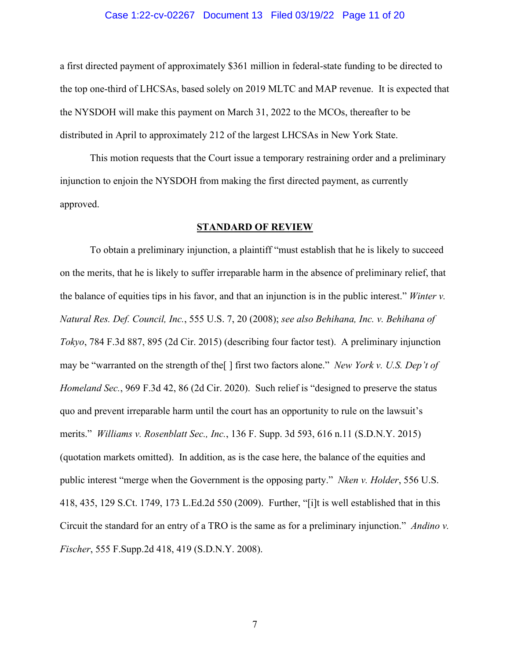#### Case 1:22-cv-02267 Document 13 Filed 03/19/22 Page 11 of 20

a first directed payment of approximately \$361 million in federal-state funding to be directed to the top one-third of LHCSAs, based solely on 2019 MLTC and MAP revenue. It is expected that the NYSDOH will make this payment on March 31, 2022 to the MCOs, thereafter to be distributed in April to approximately 212 of the largest LHCSAs in New York State.

This motion requests that the Court issue a temporary restraining order and a preliminary injunction to enjoin the NYSDOH from making the first directed payment, as currently approved.

### **STANDARD OF REVIEW**

To obtain a preliminary injunction, a plaintiff "must establish that he is likely to succeed on the merits, that he is likely to suffer irreparable harm in the absence of preliminary relief, that the balance of equities tips in his favor, and that an injunction is in the public interest." *Winter v. Natural Res. Def. Council, Inc.*, 555 U.S. 7, 20 (2008); *see also Behihana, Inc. v. Behihana of Tokyo*, 784 F.3d 887, 895 (2d Cir. 2015) (describing four factor test). A preliminary injunction may be "warranted on the strength of the[ ] first two factors alone." *New York v. U.S. Dep't of Homeland Sec.*, 969 F.3d 42, 86 (2d Cir. 2020). Such relief is "designed to preserve the status quo and prevent irreparable harm until the court has an opportunity to rule on the lawsuit's merits." *Williams v. Rosenblatt Sec., Inc.*, 136 F. Supp. 3d 593, 616 n.11 (S.D.N.Y. 2015) (quotation markets omitted). In addition, as is the case here, the balance of the equities and public interest "merge when the Government is the opposing party." *Nken v. Holder*, 556 U.S. 418, 435, 129 S.Ct. 1749, 173 L.Ed.2d 550 (2009). Further, "[i]t is well established that in this Circuit the standard for an entry of a TRO is the same as for a preliminary injunction." *Andino v. Fischer*, 555 F.Supp.2d 418, 419 (S.D.N.Y. 2008).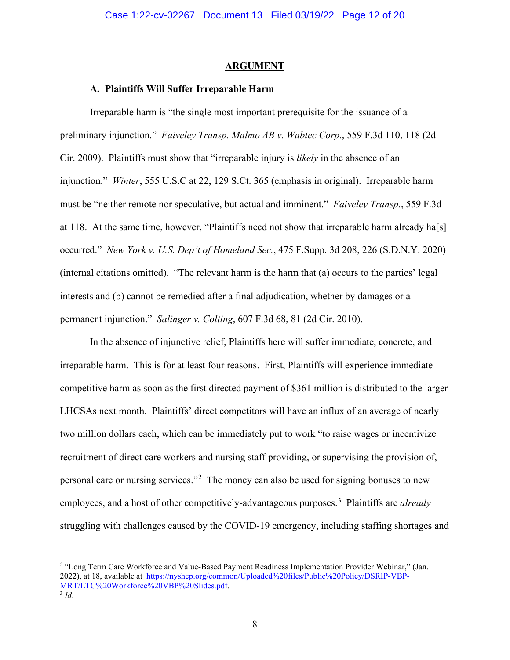#### **ARGUMENT**

### **A. Plaintiffs Will Suffer Irreparable Harm**

Irreparable harm is "the single most important prerequisite for the issuance of a preliminary injunction." *Faiveley Transp. Malmo AB v. Wabtec Corp.*, 559 F.3d 110, 118 (2d Cir. 2009). Plaintiffs must show that "irreparable injury is *likely* in the absence of an injunction." *Winter*, 555 U.S.C at 22, 129 S.Ct. 365 (emphasis in original). Irreparable harm must be "neither remote nor speculative, but actual and imminent." *Faiveley Transp.*, 559 F.3d at 118. At the same time, however, "Plaintiffs need not show that irreparable harm already ha[s] occurred." *New York v. U.S. Dep't of Homeland Sec.*, 475 F.Supp. 3d 208, 226 (S.D.N.Y. 2020) (internal citations omitted). "The relevant harm is the harm that (a) occurs to the parties' legal interests and (b) cannot be remedied after a final adjudication, whether by damages or a permanent injunction." *Salinger v. Colting*, 607 F.3d 68, 81 (2d Cir. 2010).

In the absence of injunctive relief, Plaintiffs here will suffer immediate, concrete, and irreparable harm. This is for at least four reasons. First, Plaintiffs will experience immediate competitive harm as soon as the first directed payment of \$361 million is distributed to the larger LHCSAs next month. Plaintiffs' direct competitors will have an influx of an average of nearly two million dollars each, which can be immediately put to work "to raise wages or incentivize recruitment of direct care workers and nursing staff providing, or supervising the provision of, personal care or nursing services."<sup>[2](#page-11-0)</sup> The money can also be used for signing bonuses to new employees, and a host of other competitively-advantageous purposes.<sup>[3](#page-11-1)</sup> Plaintiffs are *already* struggling with challenges caused by the COVID-19 emergency, including staffing shortages and

<span id="page-11-1"></span><span id="page-11-0"></span><sup>2</sup> "Long Term Care Workforce and Value-Based Payment Readiness Implementation Provider Webinar," (Jan. 2022), at 18, available at [https://nyshcp.org/common/Uploaded%20files/Public%20Policy/DSRIP-VBP-](https://nyshcp.org/common/Uploaded%20files/Public%20Policy/DSRIP-VBP-MRT/LTC%20Workforce%20VBP%20Slides.pdf)[MRT/LTC%20Workforce%20VBP%20Slides.pdf.](https://nyshcp.org/common/Uploaded%20files/Public%20Policy/DSRIP-VBP-MRT/LTC%20Workforce%20VBP%20Slides.pdf) 3 *Id*.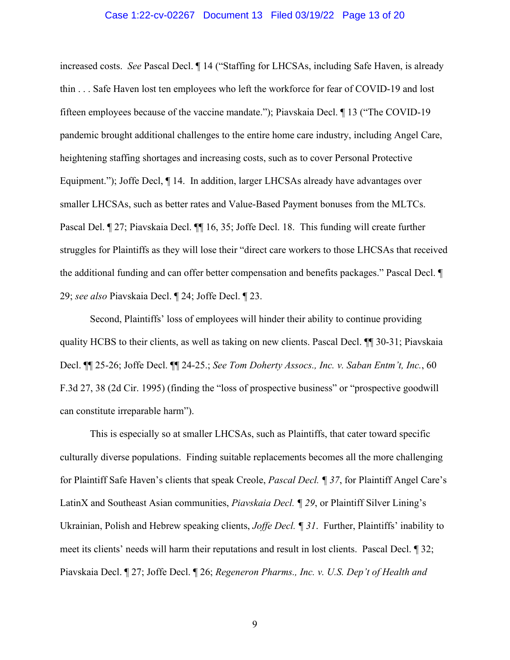#### Case 1:22-cv-02267 Document 13 Filed 03/19/22 Page 13 of 20

increased costs. *See* Pascal Decl. ¶ 14 ("Staffing for LHCSAs, including Safe Haven, is already thin . . . Safe Haven lost ten employees who left the workforce for fear of COVID-19 and lost fifteen employees because of the vaccine mandate."); Piavskaia Decl. ¶ 13 ("The COVID-19 pandemic brought additional challenges to the entire home care industry, including Angel Care, heightening staffing shortages and increasing costs, such as to cover Personal Protective Equipment."); Joffe Decl,  $\P$  14. In addition, larger LHCSAs already have advantages over smaller LHCSAs, such as better rates and Value-Based Payment bonuses from the MLTCs. Pascal Del. ¶ 27; Piavskaia Decl. ¶¶ 16, 35; Joffe Decl. 18. This funding will create further struggles for Plaintiffs as they will lose their "direct care workers to those LHCSAs that received the additional funding and can offer better compensation and benefits packages." Pascal Decl. ¶ 29; *see also* Piavskaia Decl. ¶ 24; Joffe Decl. ¶ 23.

Second, Plaintiffs' loss of employees will hinder their ability to continue providing quality HCBS to their clients, as well as taking on new clients. Pascal Decl. ¶¶ 30-31; Piavskaia Decl. ¶¶ 25-26; Joffe Decl. ¶¶ 24-25.; *See Tom Doherty Assocs., Inc. v. Saban Entm't, Inc.*, 60 F.3d 27, 38 (2d Cir. 1995) (finding the "loss of prospective business" or "prospective goodwill can constitute irreparable harm").

This is especially so at smaller LHCSAs, such as Plaintiffs, that cater toward specific culturally diverse populations. Finding suitable replacements becomes all the more challenging for Plaintiff Safe Haven's clients that speak Creole, *Pascal Decl. ¶ 37*, for Plaintiff Angel Care's LatinX and Southeast Asian communities, *Piavskaia Decl. ¶ 29*, or Plaintiff Silver Lining's Ukrainian, Polish and Hebrew speaking clients, *Joffe Decl. ¶ 31*. Further, Plaintiffs' inability to meet its clients' needs will harm their reputations and result in lost clients. Pascal Decl. ¶ 32; Piavskaia Decl. ¶ 27; Joffe Decl. ¶ 26; *Regeneron Pharms., Inc. v. U.S. Dep't of Health and*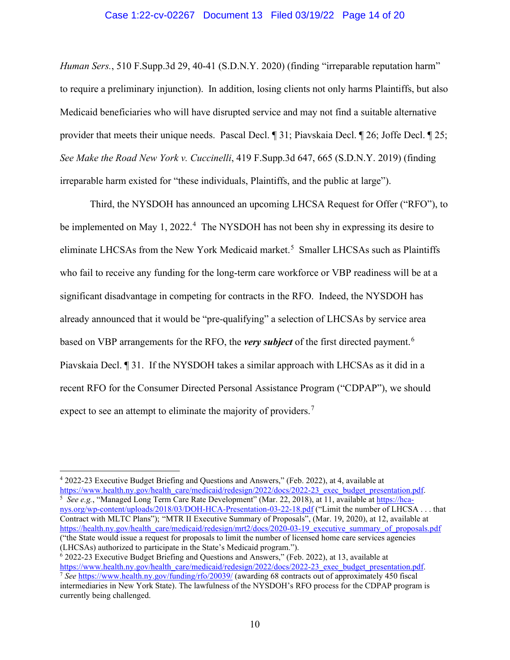### Case 1:22-cv-02267 Document 13 Filed 03/19/22 Page 14 of 20

*Human Sers.*, 510 F.Supp.3d 29, 40-41 (S.D.N.Y. 2020) (finding "irreparable reputation harm" to require a preliminary injunction). In addition, losing clients not only harms Plaintiffs, but also Medicaid beneficiaries who will have disrupted service and may not find a suitable alternative provider that meets their unique needs. Pascal Decl. ¶ 31; Piavskaia Decl. ¶ 26; Joffe Decl. ¶ 25; *See Make the Road New York v. Cuccinelli*, 419 F.Supp.3d 647, 665 (S.D.N.Y. 2019) (finding irreparable harm existed for "these individuals, Plaintiffs, and the public at large").

Third, the NYSDOH has announced an upcoming LHCSA Request for Offer ("RFO"), to be implemented on May 1, 2022.<sup>[4](#page-13-0)</sup> The NYSDOH has not been shy in expressing its desire to eliminate LHCSAs from the New York Medicaid market.<sup>[5](#page-13-1)</sup> Smaller LHCSAs such as Plaintiffs who fail to receive any funding for the long-term care workforce or VBP readiness will be at a significant disadvantage in competing for contracts in the RFO. Indeed, the NYSDOH has already announced that it would be "pre-qualifying" a selection of LHCSAs by service area based on VBP arrangements for the RFO, the *very subject* of the first directed payment. [6](#page-13-2) Piavskaia Decl. ¶ 31. If the NYSDOH takes a similar approach with LHCSAs as it did in a recent RFO for the Consumer Directed Personal Assistance Program ("CDPAP"), we should expect to see an attempt to eliminate the majority of providers.<sup>[7](#page-13-3)</sup>

<span id="page-13-1"></span> *See e.g.*, "Managed Long Term Care Rate Development" (Mar. 22, 2018), at 11, available at [https://hca](https://hca-nys.org/wp-content/uploads/2018/03/DOH-HCA-Presentation-03-22-18.pdf)[nys.org/wp-content/uploads/2018/03/DOH-HCA-Presentation-03-22-18.pdf](https://hca-nys.org/wp-content/uploads/2018/03/DOH-HCA-Presentation-03-22-18.pdf) ("Limit the number of LHCSA . . . that Contract with MLTC Plans"); "MTR II Executive Summary of Proposals", (Mar. 19, 2020), at 12, available at [https://health.ny.gov/health\\_care/medicaid/redesign/mrt2/docs/2020-03-19\\_executive\\_summary\\_of\\_proposals.pdf](https://health.ny.gov/health_care/medicaid/redesign/mrt2/docs/2020-03-19_executive_summary_of_proposals.pdf) ("the State would issue a request for proposals to limit the number of licensed home care services agencies (LHCSAs) authorized to participate in the State's Medicaid program.").

<span id="page-13-3"></span><span id="page-13-2"></span> $6$  2022-23 Executive Budget Briefing and Questions and Answers," (Feb. 2022), at 13, available at [https://www.health.ny.gov/health\\_care/medicaid/redesign/2022/docs/2022-23\\_exec\\_budget\\_presentation.pdf.](https://www.health.ny.gov/health_care/medicaid/redesign/2022/docs/2022-23_exec_budget_presentation.pdf) 7 *See* <https://www.health.ny.gov/funding/rfo/20039/> (awarding 68 contracts out of approximately 450 fiscal intermediaries in New York State). The lawfulness of the NYSDOH's RFO process for the CDPAP program is currently being challenged.

<span id="page-13-0"></span><sup>4</sup> 2022-23 Executive Budget Briefing and Questions and Answers," (Feb. 2022), at 4, available at [https://www.health.ny.gov/health\\_care/medicaid/redesign/2022/docs/2022-23\\_exec\\_budget\\_presentation.pdf.](https://www.health.ny.gov/health_care/medicaid/redesign/2022/docs/2022-23_exec_budget_presentation.pdf)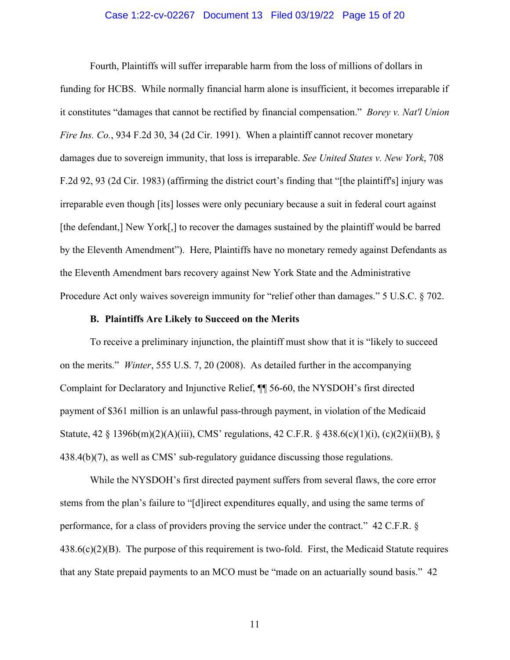### Case 1:22-cv-02267 Document 13 Filed 03/19/22 Page 15 of 20

Fourth, Plaintiffs will suffer irreparable harm from the loss of millions of dollars in funding for HCBS. While normally financial harm alone is insufficient, it becomes irreparable if it constitutes "damages that cannot be rectified by financial compensation." *Borey v. Nat'l Union Fire Ins. Co.*, 934 F.2d 30, 34 (2d Cir. 1991). When a plaintiff cannot recover monetary damages due to sovereign immunity, that loss is irreparable. *See United States v. New York*, 708 F.2d 92, 93 (2d Cir. 1983) (affirming the district court's finding that "[the plaintiff's] injury was irreparable even though [its] losses were only pecuniary because a suit in federal court against [the defendant,] New York[,] to recover the damages sustained by the plaintiff would be barred by the Eleventh Amendment"). Here, Plaintiffs have no monetary remedy against Defendants as the Eleventh Amendment bars recovery against New York State and the Administrative Procedure Act only waives sovereign immunity for "relief other than damages." 5 U.S.C. § 702.

### **B. Plaintiffs Are Likely to Succeed on the Merits**

To receive a preliminary injunction, the plaintiff must show that it is "likely to succeed on the merits." *Winter*, 555 U.S. 7, 20 (2008). As detailed further in the accompanying Complaint for Declaratory and Injunctive Relief, ¶¶ 56-60, the NYSDOH's first directed payment of \$361 million is an unlawful pass-through payment, in violation of the Medicaid Statute, 42 § 1396b(m)(2)(A)(iii), CMS' regulations, 42 C.F.R. § 438.6(c)(1)(i), (c)(2)(ii)(B), § 438.4(b)(7), as well as CMS' sub-regulatory guidance discussing those regulations.

While the NYSDOH's first directed payment suffers from several flaws, the core error stems from the plan's failure to "[d]irect expenditures equally, and using the same terms of performance, for a class of providers proving the service under the contract." 42 C.F.R. §  $438.6(c)(2)(B)$ . The purpose of this requirement is two-fold. First, the Medicaid Statute requires that any State prepaid payments to an MCO must be "made on an actuarially sound basis." 42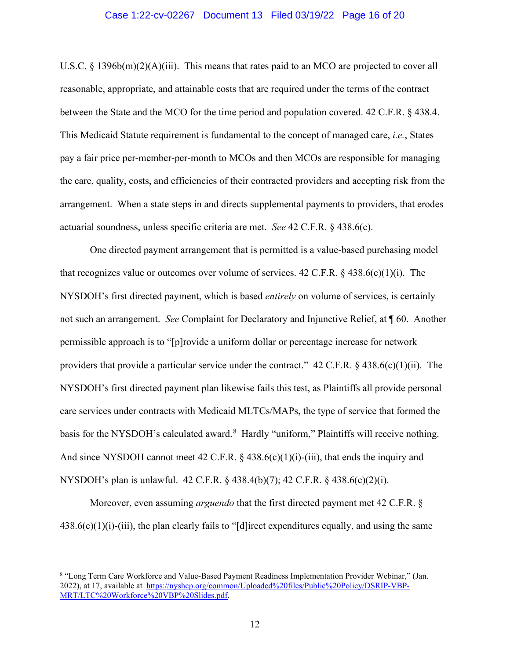### Case 1:22-cv-02267 Document 13 Filed 03/19/22 Page 16 of 20

U.S.C.  $\S$  1396b(m)(2)(A)(iii). This means that rates paid to an MCO are projected to cover all reasonable, appropriate, and attainable costs that are required under the terms of the contract between the State and the MCO for the time period and population covered. 42 C.F.R. § 438.4. This Medicaid Statute requirement is fundamental to the concept of managed care, *i.e.*, States pay a fair price per-member-per-month to MCOs and then MCOs are responsible for managing the care, quality, costs, and efficiencies of their contracted providers and accepting risk from the arrangement. When a state steps in and directs supplemental payments to providers, that erodes actuarial soundness, unless specific criteria are met. *See* 42 C.F.R. § 438.6(c).

One directed payment arrangement that is permitted is a value-based purchasing model that recognizes value or outcomes over volume of services. 42 C.F.R.  $\S$  438.6(c)(1)(i). The NYSDOH's first directed payment, which is based *entirely* on volume of services, is certainly not such an arrangement. *See* Complaint for Declaratory and Injunctive Relief, at ¶ 60. Another permissible approach is to "[p]rovide a uniform dollar or percentage increase for network providers that provide a particular service under the contract." 42 C.F.R.  $\S$  438.6(c)(1)(ii). The NYSDOH's first directed payment plan likewise fails this test, as Plaintiffs all provide personal care services under contracts with Medicaid MLTCs/MAPs, the type of service that formed the basis for the NYSDOH's calculated award.<sup>[8](#page-15-0)</sup> Hardly "uniform," Plaintiffs will receive nothing. And since NYSDOH cannot meet 42 C.F.R.  $\S$  438.6(c)(1)(i)-(iii), that ends the inquiry and NYSDOH's plan is unlawful. 42 C.F.R. § 438.4(b)(7); 42 C.F.R. § 438.6(c)(2)(i).

Moreover, even assuming *arguendo* that the first directed payment met 42 C.F.R. §  $438.6(c)(1)(i)$ -(iii), the plan clearly fails to "[d]irect expenditures equally, and using the same

<span id="page-15-0"></span><sup>8</sup> "Long Term Care Workforce and Value-Based Payment Readiness Implementation Provider Webinar," (Jan. 2022), at 17, available at [https://nyshcp.org/common/Uploaded%20files/Public%20Policy/DSRIP-VBP-](https://nyshcp.org/common/Uploaded%20files/Public%20Policy/DSRIP-VBP-MRT/LTC%20Workforce%20VBP%20Slides.pdf)[MRT/LTC%20Workforce%20VBP%20Slides.pdf.](https://nyshcp.org/common/Uploaded%20files/Public%20Policy/DSRIP-VBP-MRT/LTC%20Workforce%20VBP%20Slides.pdf)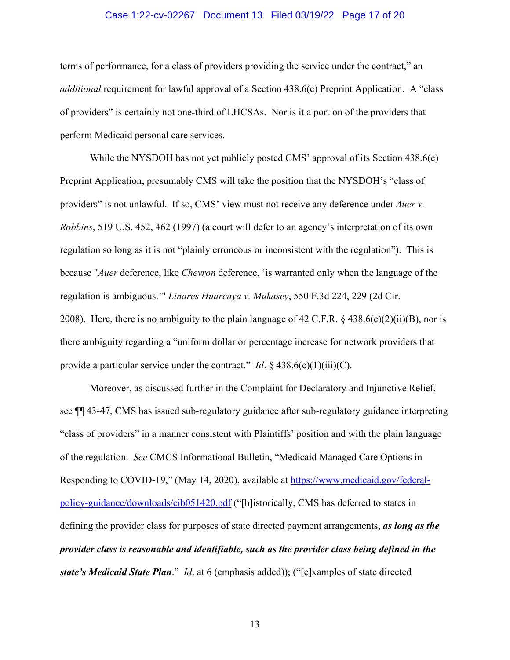### Case 1:22-cv-02267 Document 13 Filed 03/19/22 Page 17 of 20

terms of performance, for a class of providers providing the service under the contract," an *additional* requirement for lawful approval of a Section 438.6(c) Preprint Application. A "class of providers" is certainly not one-third of LHCSAs. Nor is it a portion of the providers that perform Medicaid personal care services.

While the NYSDOH has not yet publicly posted CMS' approval of its Section 438.6(c) Preprint Application, presumably CMS will take the position that the NYSDOH's "class of providers" is not unlawful. If so, CMS' view must not receive any deference under *Auer v. Robbins*, 519 U.S. 452, 462 (1997) (a court will defer to an agency's interpretation of its own regulation so long as it is not "plainly erroneous or inconsistent with the regulation"). This is because "*Auer* deference, like *Chevron* deference, 'is warranted only when the language of the regulation is ambiguous.'" *Linares Huarcaya v. Mukasey*, 550 F.3d 224, 229 (2d Cir. 2008). Here, there is no ambiguity to the plain language of 42 C.F.R. § 438.6(c)(2)(ii)(B), nor is there ambiguity regarding a "uniform dollar or percentage increase for network providers that provide a particular service under the contract." *Id*. § 438.6(c)(1)(iii)(C).

Moreover, as discussed further in the Complaint for Declaratory and Injunctive Relief, see ¶¶ 43-47, CMS has issued sub-regulatory guidance after sub-regulatory guidance interpreting "class of providers" in a manner consistent with Plaintiffs' position and with the plain language of the regulation. *See* CMCS Informational Bulletin, "Medicaid Managed Care Options in Responding to COVID-19," (May 14, 2020), available at [https://www.medicaid.gov/federal](https://www.medicaid.gov/federal-policy-guidance/downloads/cib051420.pdf)[policy-guidance/downloads/cib051420.pdf](https://www.medicaid.gov/federal-policy-guidance/downloads/cib051420.pdf) ("[h]istorically, CMS has deferred to states in defining the provider class for purposes of state directed payment arrangements, *as long as the provider class is reasonable and identifiable, such as the provider class being defined in the state's Medicaid State Plan*." *Id*. at 6 (emphasis added)); ("[e]xamples of state directed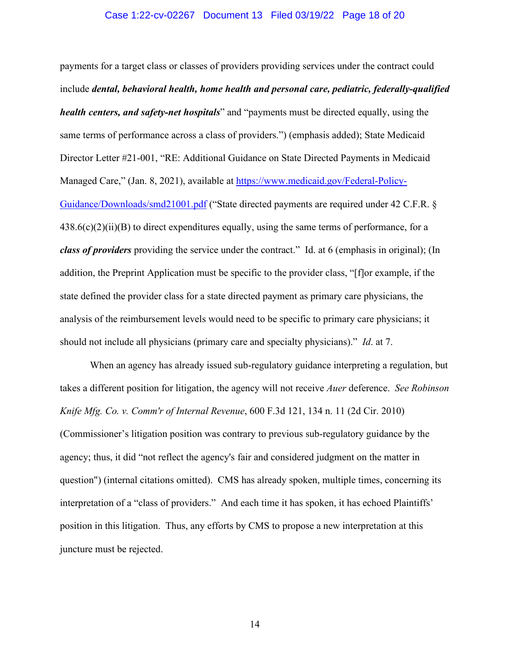#### Case 1:22-cv-02267 Document 13 Filed 03/19/22 Page 18 of 20

payments for a target class or classes of providers providing services under the contract could include *dental, behavioral health, home health and personal care, pediatric, federally-qualified health centers, and safety-net hospitals*" and "payments must be directed equally, using the same terms of performance across a class of providers.") (emphasis added); State Medicaid Director Letter #21-001, "RE: Additional Guidance on State Directed Payments in Medicaid Managed Care," (Jan. 8, 2021), available at [https://www.medicaid.gov/Federal-Policy-](https://www.medicaid.gov/Federal-Policy-Guidance/Downloads/smd21001.pdf)[Guidance/Downloads/smd21001.pdf](https://www.medicaid.gov/Federal-Policy-Guidance/Downloads/smd21001.pdf) ("State directed payments are required under 42 C.F.R. §  $438.6(c)(2)(ii)(B)$  to direct expenditures equally, using the same terms of performance, for a *class of providers* providing the service under the contract." Id. at 6 (emphasis in original); (In addition, the Preprint Application must be specific to the provider class, "[f]or example, if the state defined the provider class for a state directed payment as primary care physicians, the analysis of the reimbursement levels would need to be specific to primary care physicians; it should not include all physicians (primary care and specialty physicians)." *Id*. at 7.

When an agency has already issued sub-regulatory guidance interpreting a regulation, but takes a different position for litigation, the agency will not receive *Auer* deference. *See Robinson Knife Mfg. Co. v. Comm'r of Internal Revenue*, 600 F.3d 121, 134 n. 11 (2d Cir. 2010) (Commissioner's litigation position was contrary to previous sub-regulatory guidance by the agency; thus, it did "not reflect the agency's fair and considered judgment on the matter in question") (internal citations omitted). CMS has already spoken, multiple times, concerning its interpretation of a "class of providers." And each time it has spoken, it has echoed Plaintiffs' position in this litigation. Thus, any efforts by CMS to propose a new interpretation at this juncture must be rejected.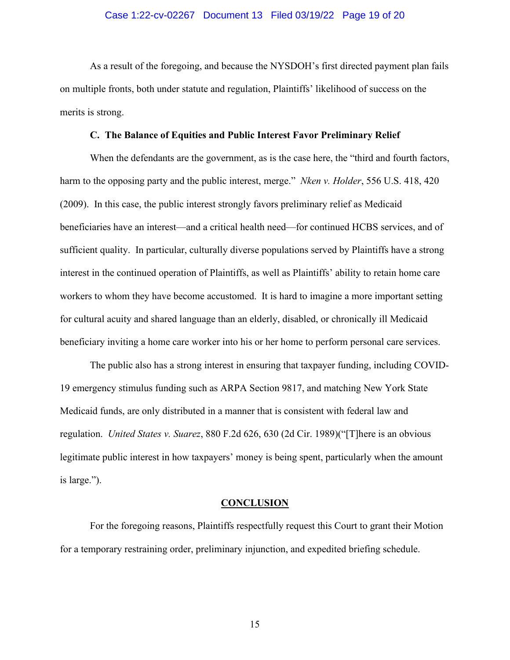### Case 1:22-cv-02267 Document 13 Filed 03/19/22 Page 19 of 20

As a result of the foregoing, and because the NYSDOH's first directed payment plan fails on multiple fronts, both under statute and regulation, Plaintiffs' likelihood of success on the merits is strong.

#### **C. The Balance of Equities and Public Interest Favor Preliminary Relief**

When the defendants are the government, as is the case here, the "third and fourth factors, harm to the opposing party and the public interest, merge." *Nken v. Holder*, 556 U.S. 418, 420 (2009). In this case, the public interest strongly favors preliminary relief as Medicaid beneficiaries have an interest—and a critical health need—for continued HCBS services, and of sufficient quality. In particular, culturally diverse populations served by Plaintiffs have a strong interest in the continued operation of Plaintiffs, as well as Plaintiffs' ability to retain home care workers to whom they have become accustomed. It is hard to imagine a more important setting for cultural acuity and shared language than an elderly, disabled, or chronically ill Medicaid beneficiary inviting a home care worker into his or her home to perform personal care services.

The public also has a strong interest in ensuring that taxpayer funding, including COVID-19 emergency stimulus funding such as ARPA Section 9817, and matching New York State Medicaid funds, are only distributed in a manner that is consistent with federal law and regulation. *United States v. Suarez*, 880 F.2d 626, 630 (2d Cir. 1989)("[T]here is an obvious legitimate public interest in how taxpayers' money is being spent, particularly when the amount is large.").

#### **CONCLUSION**

For the foregoing reasons, Plaintiffs respectfully request this Court to grant their Motion for a temporary restraining order, preliminary injunction, and expedited briefing schedule.